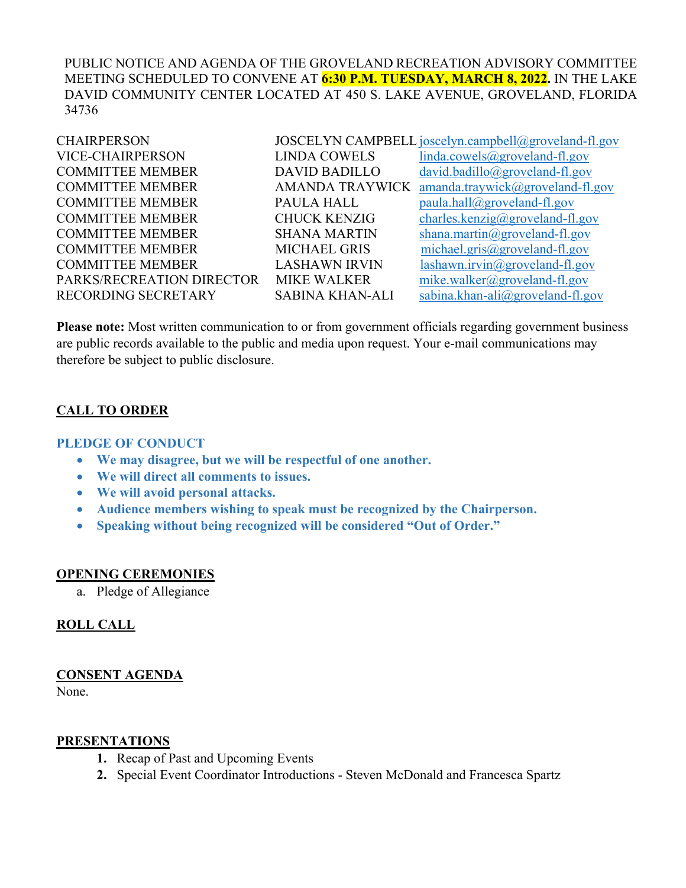PUBLIC NOTICE AND AGENDA OF THE GROVELAND RECREATION ADVISORY COMMITTEE MEETING SCHEDULED TO CONVENE AT **6:30 P.M. TUESDAY, MARCH 8, 2022.** IN THE LAKE DAVID COMMUNITY CENTER LOCATED AT 450 S. LAKE AVENUE, GROVELAND, FLORIDA 34736

| <b>CHAIRPERSON</b>         |                        | JOSCELYN CAMPBELL joscelyn.campbell@groveland-fl.gov |
|----------------------------|------------------------|------------------------------------------------------|
| <b>VICE-CHAIRPERSON</b>    | <b>LINDA COWELS</b>    | linda.cowels@groveland-fl.gov                        |
| <b>COMMITTEE MEMBER</b>    | <b>DAVID BADILLO</b>   | $david.badillo@groveland-fl.gov$                     |
| <b>COMMITTEE MEMBER</b>    | <b>AMANDA TRAYWICK</b> | amanda.traywick@groveland-fl.gov                     |
| <b>COMMITTEE MEMBER</b>    | PAULA HALL             | paula.hall@groveland-fl.gov                          |
| <b>COMMITTEE MEMBER</b>    | <b>CHUCK KENZIG</b>    | charles.kenzig@groveland-fl.gov                      |
| <b>COMMITTEE MEMBER</b>    | <b>SHANA MARTIN</b>    | shana.martin@groveland-fl.gov                        |
| <b>COMMITTEE MEMBER</b>    | <b>MICHAEL GRIS</b>    | michael.gris@groveland-fl.gov                        |
| <b>COMMITTEE MEMBER</b>    | <b>LASHAWN IRVIN</b>   | $lashum.irvin@groveland-fl.gov$                      |
| PARKS/RECREATION DIRECTOR  | <b>MIKE WALKER</b>     | mike.walker@groveland-fl.gov                         |
| <b>RECORDING SECRETARY</b> | <b>SABINA KHAN-ALI</b> | sabina.khan-ali $(\partial g$ roveland-fl.gov        |
|                            |                        |                                                      |

**Please note:** Most written communication to or from government officials regarding government business are public records available to the public and media upon request. Your e-mail communications may therefore be subject to public disclosure.

## **CALL TO ORDER**

#### **PLEDGE OF CONDUCT**

- **We may disagree, but we will be respectful of one another.**
- **We will direct all comments to issues.**
- **We will avoid personal attacks.**
- **Audience members wishing to speak must be recognized by the Chairperson.**
- **Speaking without being recognized will be considered "Out of Order."**

#### **OPENING CEREMONIES**

a. Pledge of Allegiance

## **ROLL CALL**

#### **CONSENT AGENDA**

None.

#### **PRESENTATIONS**

- **1.** Recap of Past and Upcoming Events
- **2.** Special Event Coordinator Introductions Steven McDonald and Francesca Spartz